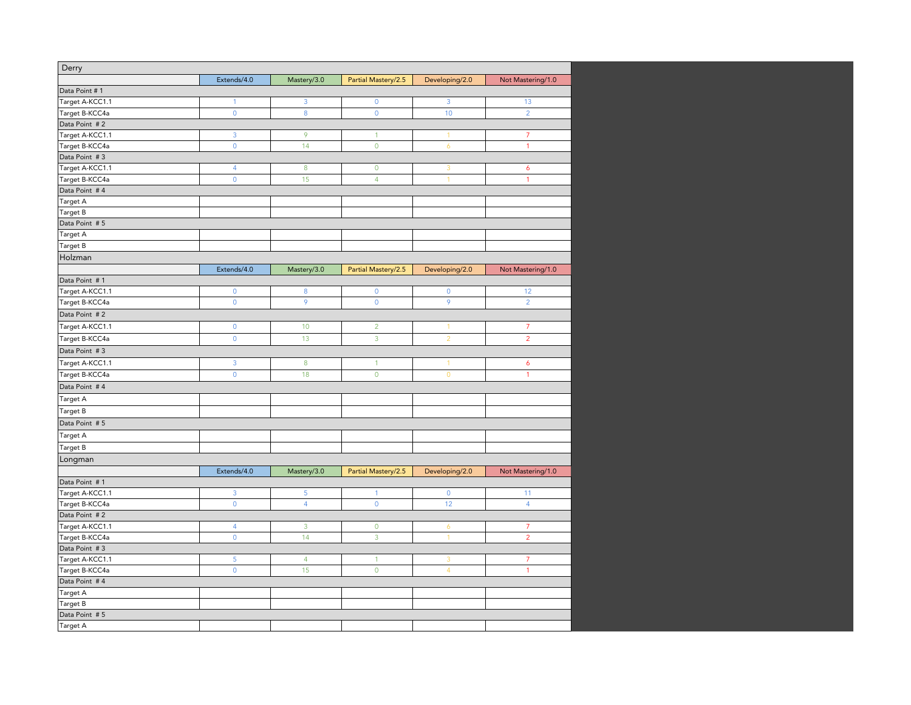| Derry           |                     |                |                     |                     |                   |
|-----------------|---------------------|----------------|---------------------|---------------------|-------------------|
|                 | Extends/4.0         | Mastery/3.0    | Partial Mastery/2.5 | Developing/2.0      | Not Mastering/1.0 |
| Data Point # 1  |                     |                |                     |                     |                   |
| Target A-KCC1.1 | $\mathbf{1}$        | 3              | 0                   | 3                   | 13                |
| Target B-KCC4a  | $\mathsf{O}\xspace$ | 8              | $\mathbf 0$         | 10                  | $\overline{2}$    |
| Data Point #2   |                     |                |                     |                     |                   |
| Target A-KCC1.1 | 3                   | 9              | $\mathbf{1}$        | $\mathbf{1}$        | $\overline{7}$    |
| Target B-KCC4a  | $\mathsf{O}\xspace$ | 14             | $\overline{0}$      | $\ddot{\mathbf{6}}$ | 1                 |
| Data Point #3   |                     |                |                     |                     |                   |
| Target A-KCC1.1 | $\overline{4}$      | 8              | $\mathbf 0$         | 3                   | 6                 |
| Target B-KCC4a  | $\mathsf 0$         | 15             | $\overline{4}$      | $\overline{1}$      | $\overline{1}$    |
| Data Point #4   |                     |                |                     |                     |                   |
| Target A        |                     |                |                     |                     |                   |
| Target B        |                     |                |                     |                     |                   |
| Data Point #5   |                     |                |                     |                     |                   |
| Target A        |                     |                |                     |                     |                   |
| Target B        |                     |                |                     |                     |                   |
| Holzman         |                     |                |                     |                     |                   |
|                 | Extends/4.0         | Mastery/3.0    | Partial Mastery/2.5 | Developing/2.0      | Not Mastering/1.0 |
| Data Point #1   |                     |                |                     |                     |                   |
| Target A-KCC1.1 | $\mathbf 0$         | 8              | 0                   | $\mathbf 0$         | 12                |
| Target B-KCC4a  | $\mathbf 0$         | 9              | $\mathbf 0$         | $\mathbf{9}$        | $\overline{2}$    |
| Data Point #2   |                     |                |                     |                     |                   |
| Target A-KCC1.1 | $\pmb{0}$           | 10             | $\overline{2}$      | $\mathbf{1}$        | $\overline{7}$    |
| Target B-KCC4a  | $\mathsf{O}\xspace$ | 13             | 3                   | $\overline{2}$      | $\overline{2}$    |
| Data Point #3   |                     |                |                     |                     |                   |
| Target A-KCC1.1 | 3                   | 8              | $\mathbf{1}$        | $\mathbf{1}$        | 6                 |
|                 | $\mathbf{0}$        |                | $\overline{0}$      | $\mathbf{0}$        | 1                 |
| Target B-KCC4a  |                     | 18             |                     |                     |                   |
| Data Point #4   |                     |                |                     |                     |                   |
| Target A        |                     |                |                     |                     |                   |
| Target B        |                     |                |                     |                     |                   |
| Data Point #5   |                     |                |                     |                     |                   |
| Target A        |                     |                |                     |                     |                   |
| Target B        |                     |                |                     |                     |                   |
| Longman         |                     |                |                     |                     |                   |
|                 | Extends/4.0         | Mastery/3.0    | Partial Mastery/2.5 | Developing/2.0      | Not Mastering/1.0 |
| Data Point # 1  |                     |                |                     |                     |                   |
| Target A-KCC1.1 | 3                   | 5              | $\mathbf{1}$        | $\mathbf 0$         | 11                |
| Target B-KCC4a  | $\mathsf{O}\xspace$ | $\overline{4}$ | $\mathbf 0$         | 12                  | $\overline{4}$    |
| Data Point #2   |                     |                |                     |                     |                   |
| Target A-KCC1.1 | $\overline{4}$      | 3              | $\mathbf 0$         | 6                   | $\overline{7}$    |
| Target B-KCC4a  | $\mathsf{O}\xspace$ | 14             | 3                   | $\mathbf{1}$        | $\overline{2}$    |
| Data Point #3   |                     |                |                     |                     |                   |
| Target A-KCC1.1 | 5                   | $\overline{4}$ | $\mathbf{1}$        | 3                   | 7                 |
| Target B-KCC4a  | $\mathbf 0$         | 15             | $\mathbf 0$         | $\overline{4}$      | 1                 |
| Data Point #4   |                     |                |                     |                     |                   |
| Target A        |                     |                |                     |                     |                   |
| Target B        |                     |                |                     |                     |                   |
| Data Point #5   |                     |                |                     |                     |                   |
| Target A        |                     |                |                     |                     |                   |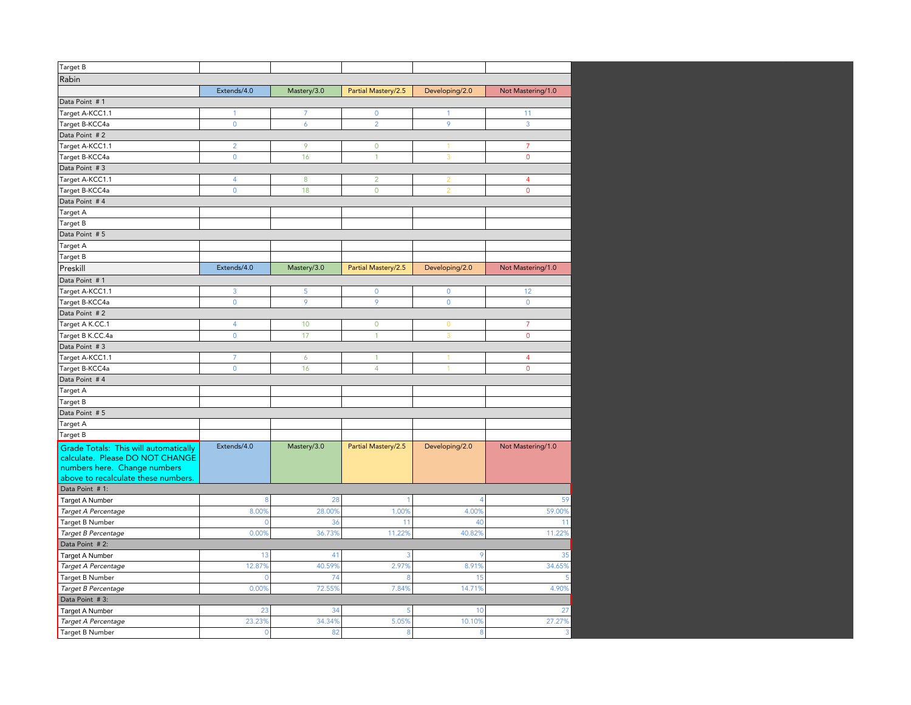| Target B                              |                |                |                     |                |                   |
|---------------------------------------|----------------|----------------|---------------------|----------------|-------------------|
| Rabin                                 |                |                |                     |                |                   |
|                                       | Extends/4.0    | Mastery/3.0    | Partial Mastery/2.5 | Developing/2.0 | Not Mastering/1.0 |
| Data Point #1                         |                |                |                     |                |                   |
| Target A-KCC1.1                       | $\mathbf{1}$   | $\overline{7}$ | $\mathbf 0$         | $\mathbf{1}$   | 11                |
| Target B-KCC4a                        | $\mathbf 0$    | 6              | $\overline{2}$      | 9              | 3                 |
|                                       |                |                |                     |                |                   |
| Data Point #2                         | $\overline{2}$ | 9              | $\overline{0}$      |                | $\overline{7}$    |
| Target A-KCC1.1                       |                |                |                     | 1              |                   |
| Target B-KCC4a                        | $\overline{0}$ | 16             | $\mathbf{1}$        | $\overline{3}$ | $\mathbf{0}$      |
| Data Point #3                         |                |                |                     |                |                   |
| Target A-KCC1.1                       | $\overline{4}$ | 8              | $\overline{2}$      | $\overline{2}$ | $\overline{4}$    |
| Target B-KCC4a                        | $\mathbf 0$    | 18             | $\mathbf 0$         | $\overline{2}$ | $\mathbf 0$       |
| Data Point #4                         |                |                |                     |                |                   |
| Target A                              |                |                |                     |                |                   |
| Target B                              |                |                |                     |                |                   |
| Data Point # 5                        |                |                |                     |                |                   |
| Target A                              |                |                |                     |                |                   |
| Target B                              |                |                |                     |                |                   |
| Preskill                              | Extends/4.0    | Mastery/3.0    | Partial Mastery/2.5 | Developing/2.0 | Not Mastering/1.0 |
| Data Point #1                         |                |                |                     |                |                   |
| Target A-KCC1.1                       | 3              | 5              | $\mathbf{0}$        | $\mathbf{0}$   | 12                |
| Target B-KCC4a                        | $\mathbf 0$    | 9              | 9                   | $\mathbf 0$    | $\mathbf 0$       |
| Data Point #2                         |                |                |                     |                |                   |
| Target A K.CC.1                       | $\overline{4}$ | 10             | $\mathbf 0$         | $\mathbf{0}$   | $\overline{7}$    |
| Target B K.CC.4a                      | $\overline{0}$ | 17             | $\mathbf{1}$        | $\overline{3}$ | $\overline{0}$    |
| Data Point #3                         |                |                |                     |                |                   |
| Target A-KCC1.1                       | $\overline{7}$ | 6              | 1                   | $\mathbf{1}$   | $\overline{4}$    |
| Target B-KCC4a                        | $\overline{0}$ | 16             | $\overline{4}$      | $\overline{1}$ | $\overline{0}$    |
| Data Point #4                         |                |                |                     |                |                   |
| Target A                              |                |                |                     |                |                   |
| Target B                              |                |                |                     |                |                   |
| Data Point #5                         |                |                |                     |                |                   |
| Target A                              |                |                |                     |                |                   |
| Target B                              |                |                |                     |                |                   |
| Grade Totals: This will automatically | Extends/4.0    | Mastery/3.0    | Partial Mastery/2.5 | Developing/2.0 | Not Mastering/1.0 |
| calculate. Please DO NOT CHANGE       |                |                |                     |                |                   |
| numbers here. Change numbers          |                |                |                     |                |                   |
| above to recalculate these numbers.   |                |                |                     |                |                   |
| Data Point #1:                        |                |                |                     |                |                   |
| Target A Number                       | 8              | 28             | $\overline{1}$      | $\overline{4}$ | 59                |
| Target A Percentage                   | 8.00%          | 28.00%         | 1.00%               | 4.00%          | 59.00%            |
| Target B Number                       | $\mathbf 0$    | 36             | 11                  | 40             | 11                |
| Target B Percentage                   | 0.00%          | 36.73%         | 11.22%              | 40.82%         | 11.22%            |
| Data Point #2:                        |                |                |                     |                |                   |
| <b>Target A Number</b>                | 13             | 41             | 3                   | 9              | 35                |
| Target A Percentage                   | 12.87%         | 40.59%         | 2.97%               | 8.91%          | 34.65%            |
| Target B Number                       | $\circ$        | 74             | 8                   | 15             | 5                 |
| Target B Percentage                   | 0.00%          | 72.55%         | 7.84%               | 14.71%         | 4.90%             |
| Data Point #3:                        |                |                |                     |                |                   |
| Target A Number                       | 23             | 34             | 5                   | 10             | 27                |
| Target A Percentage                   | 23.23%         | 34.34%         | 5.05%               | 10.10%         | 27.27%            |
| Target B Number                       | $\mathbf 0$    | 82             | 8                   | 8              | 3                 |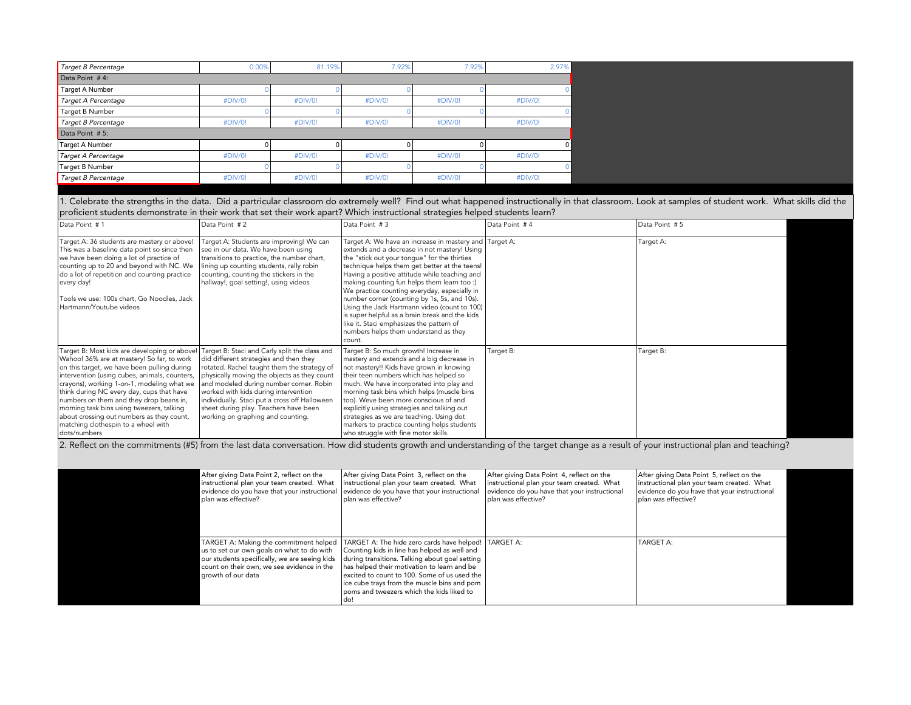| Target B Percentage | 0.00%   | 81.19%  | 7.92%   | 7.92%   | 2.97%   |
|---------------------|---------|---------|---------|---------|---------|
| Data Point #4:      |         |         |         |         |         |
| Target A Number     |         |         |         |         |         |
| Target A Percentage | #DIV/0! | #DIV/0! | #DIV/0! | #DIV/0! | #DIV/0! |
| Target B Number     |         |         |         |         |         |
| Target B Percentage | #DIV/0! | #DIV/0! | #DIV/0! | #DIV/0! | #DIV/0! |
| Data Point #5:      |         |         |         |         |         |
| Target A Number     |         |         |         |         |         |
| Target A Percentage | #DIV/0! | #DIV/0! | #DIV/0! | #DIV/0! | #DIV/0! |
| Target B Number     |         |         |         |         |         |
| Target B Percentage | #DIV/0! | #DIV/0! | #DIV/0! | #DIV/0! | #DIV/0! |

1. Celebrate the strengths in the data. Did a partricular classroom do extremely well? Find out what happened instructionally in that classroom. Look at samples of student work. What skills did the proficient students demonstrate in their work that set their work apart? Which instructional strategies helped students learn?

| Data Point #1                                                                                                                                                                                                                                                                                                                                                                                                                                                                                                                   | Data Point #2                                                                                                                                                                                                                                                                                                                                          | Data Point #3                                                                                                                                                                                                                                                                                                                                                                                                                                                                                                                                                                                            | Data Point #4 | Data Point # 5 |
|---------------------------------------------------------------------------------------------------------------------------------------------------------------------------------------------------------------------------------------------------------------------------------------------------------------------------------------------------------------------------------------------------------------------------------------------------------------------------------------------------------------------------------|--------------------------------------------------------------------------------------------------------------------------------------------------------------------------------------------------------------------------------------------------------------------------------------------------------------------------------------------------------|----------------------------------------------------------------------------------------------------------------------------------------------------------------------------------------------------------------------------------------------------------------------------------------------------------------------------------------------------------------------------------------------------------------------------------------------------------------------------------------------------------------------------------------------------------------------------------------------------------|---------------|----------------|
| Target A: 36 students are mastery or above!<br>This was a baseline data point so since then<br>we have been doing a lot of practice of<br>counting up to 20 and beyond with NC. We<br>do a lot of repetition and counting practice<br>every day!<br>Tools we use: 100s chart, Go Noodles, Jack<br>Hartmann/Youtube videos                                                                                                                                                                                                       | Target A: Students are improving! We can<br>see in our data. We have been using<br>transitions to practice, the number chart,<br>lining up counting students, rally robin<br>counting, counting the stickers in the<br>hallway!, goal setting!, using videos                                                                                           | Target A: We have an increase in mastery and Target A:<br>extends and a decrease in not mastery! Using<br>the "stick out your tongue" for the thirties<br>technique helps them get better at the teens!<br>Having a positive attitude while teaching and<br>making counting fun helps them learn too :)<br>We practice counting everyday, especially in<br>number corner (counting by 1s, 5s, and 10s).<br>Using the Jack Hartmann video (count to 100)<br>is super helpful as a brain break and the kids<br>like it. Staci emphasizes the pattern of<br>numbers helps them understand as they<br>count. |               | Target A:      |
| Target B: Most kids are developing or above! Target B: Staci and Carly split the class and<br>Wahoo! 36% are at mastery! So far, to work<br>on this target, we have been pulling during<br>intervention (using cubes, animals, counters,<br>crayons), working 1-on-1, modeling what we<br>think during NC every day, cups that have<br>numbers on them and they drop beans in,<br>morning task bins using tweezers, talking<br>about crossing out numbers as they count,<br>matching clothespin to a wheel with<br>dots/numbers | did different strategies and then they<br>rotated. Rachel taught them the strategy of<br>physically moving the objects as they count<br>and modeled during number corner. Robin<br>worked with kids during intervention<br>individually. Staci put a cross off Halloween<br>sheet during play. Teachers have been<br>working on graphing and counting. | Target B: So much growth! Increase in<br>mastery and extends and a big decrease in<br>not mastery!! Kids have grown in knowing<br>their teen numbers which has helped so<br>much. We have incorporated into play and<br>morning task bins which helps (muscle bins<br>too). Weve been more conscious of and<br>explicitly using strategies and talking out<br>strategies as we are teaching. Using dot<br>markers to practice counting helps students<br>who struggle with fine motor skills.                                                                                                            | Target B:     | Target B:      |

2. Reflect on the commitments (#5) from the last data conversation. How did students growth and understanding of the target change as a result of your instructional plan and teaching?

| After giving Data Point 2, reflect on the<br>instructional plan your team created. What<br>evidence do you have that your instructional<br>I plan was effective?                                          | After giving Data Point 3, reflect on the<br>instructional plan your team created. What<br>evidence do you have that your instructional<br>Iplan was effective?                                                                                                                                                                                       | After giving Data Point 4, reflect on the<br>instructional plan your team created. What<br>evidence do you have that your instructional<br>plan was effective? | After giving Data Point 5, reflect on the<br>instructional plan your team created. What<br>evidence do you have that your instructional<br>  plan was effective? |  |
|-----------------------------------------------------------------------------------------------------------------------------------------------------------------------------------------------------------|-------------------------------------------------------------------------------------------------------------------------------------------------------------------------------------------------------------------------------------------------------------------------------------------------------------------------------------------------------|----------------------------------------------------------------------------------------------------------------------------------------------------------------|------------------------------------------------------------------------------------------------------------------------------------------------------------------|--|
| TARGET A: Making the commitment helped<br>us to set our own goals on what to do with<br>our students specifically, we are seeing kids<br>count on their own, we see evidence in the<br>growth of our data | TARGET A: The hide zero cards have helped!   TARGET A:<br>Counting kids in line has helped as well and<br>during transitions. Talking about goal setting<br>has helped their motivation to learn and be<br>excited to count to 100. Some of us used the<br>ice cube trays from the muscle bins and pom<br>l poms and tweezers which the kids liked to |                                                                                                                                                                | <b>TARGET A:</b>                                                                                                                                                 |  |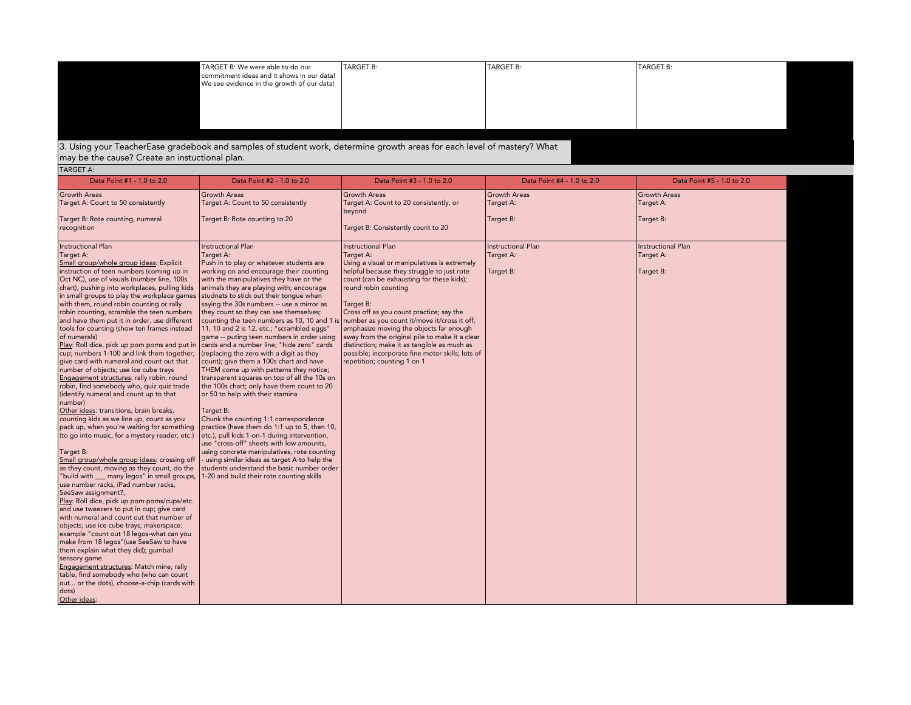| TARGET B: We were able to do our                                                         | TARGET B: | TARGET B: | TARGET B: |
|------------------------------------------------------------------------------------------|-----------|-----------|-----------|
| commitment ideas and it shows in our data!<br>We see evidence in the growth of our data! |           |           |           |
|                                                                                          |           |           |           |
|                                                                                          |           |           |           |
|                                                                                          |           |           |           |
|                                                                                          |           |           |           |

## 3. Using your TeacherEase gradebook and samples of student work, determine growth areas for each level of mastery? What may be the cause? Create an instuctional plan.

| TARGET A:                                                                                                                                                                                                                                                                                                                                                                                                                                                                                                                                                                                                                                                                                                                                                                                                                                                                                                                                                                                                                                                                                                                                                                                                                                                                                                                                                                                                                                                                                                                                                                                                                                                                                                      |                                                                                                                                                                                                                                                                                                                                                                                                                                                                                                                                                                                                                                                                                                                                                                                                                                                                                                                                                                                                                                                                                                                                                                                                                                   |                                                                                                                                                                                                                                                                                                                                                                                                                                                                      |                                                                            |                                                                            |
|----------------------------------------------------------------------------------------------------------------------------------------------------------------------------------------------------------------------------------------------------------------------------------------------------------------------------------------------------------------------------------------------------------------------------------------------------------------------------------------------------------------------------------------------------------------------------------------------------------------------------------------------------------------------------------------------------------------------------------------------------------------------------------------------------------------------------------------------------------------------------------------------------------------------------------------------------------------------------------------------------------------------------------------------------------------------------------------------------------------------------------------------------------------------------------------------------------------------------------------------------------------------------------------------------------------------------------------------------------------------------------------------------------------------------------------------------------------------------------------------------------------------------------------------------------------------------------------------------------------------------------------------------------------------------------------------------------------|-----------------------------------------------------------------------------------------------------------------------------------------------------------------------------------------------------------------------------------------------------------------------------------------------------------------------------------------------------------------------------------------------------------------------------------------------------------------------------------------------------------------------------------------------------------------------------------------------------------------------------------------------------------------------------------------------------------------------------------------------------------------------------------------------------------------------------------------------------------------------------------------------------------------------------------------------------------------------------------------------------------------------------------------------------------------------------------------------------------------------------------------------------------------------------------------------------------------------------------|----------------------------------------------------------------------------------------------------------------------------------------------------------------------------------------------------------------------------------------------------------------------------------------------------------------------------------------------------------------------------------------------------------------------------------------------------------------------|----------------------------------------------------------------------------|----------------------------------------------------------------------------|
| Data Point #1 - 1.0 to 2.0                                                                                                                                                                                                                                                                                                                                                                                                                                                                                                                                                                                                                                                                                                                                                                                                                                                                                                                                                                                                                                                                                                                                                                                                                                                                                                                                                                                                                                                                                                                                                                                                                                                                                     | Data Point #2 - 1.0 to 2.0                                                                                                                                                                                                                                                                                                                                                                                                                                                                                                                                                                                                                                                                                                                                                                                                                                                                                                                                                                                                                                                                                                                                                                                                        | Data Point #3 - 1.0 to 2.0                                                                                                                                                                                                                                                                                                                                                                                                                                           | Data Point #4 - 1.0 to 2.0                                                 | Data Point #5 - 1.0 to 2.0                                                 |
| <b>Growth Areas</b><br>Target A: Count to 50 consistently<br>Target B: Rote counting, numeral<br>recognition<br><b>Instructional Plan</b>                                                                                                                                                                                                                                                                                                                                                                                                                                                                                                                                                                                                                                                                                                                                                                                                                                                                                                                                                                                                                                                                                                                                                                                                                                                                                                                                                                                                                                                                                                                                                                      | <b>Growth Areas</b><br>Target A: Count to 50 consistently<br>Target B: Rote counting to 20<br><b>Instructional Plan</b>                                                                                                                                                                                                                                                                                                                                                                                                                                                                                                                                                                                                                                                                                                                                                                                                                                                                                                                                                                                                                                                                                                           | <b>Growth Areas</b><br>Target A: Count to 20 consistently, or<br>beyond<br>Target B: Consistently count to 20<br><b>Instructional Plan</b>                                                                                                                                                                                                                                                                                                                           | <b>Growth Areas</b><br>Target A:<br>Target B:<br><b>Instructional Plan</b> | <b>Growth Areas</b><br>Target A:<br>Target B:<br><b>Instructional Plan</b> |
| Target A:<br>Small group/whole group ideas: Explicit<br>instruction of teen numbers (coming up in<br>Oct NC), use of visuals (number line, 100s<br>chart), pushing into workplaces, pulling kids<br>in small groups to play the workplace games<br>with them, round robin counting or rally<br>robin counting, scramble the teen numbers<br>and have them put it in order, use different<br>tools for counting (show ten frames instead<br>of numerals)<br>Play: Roll dice, pick up pom poms and put in<br>cup; numbers 1-100 and link them together;<br>give card with numeral and count out that<br>number of objects; use ice cube trays<br>Engagement structures: rally robin, round<br>robin, find somebody who, quiz quiz trade<br>(identify numeral and count up to that<br>number)<br>Other ideas: transitions, brain breaks,<br>counting kids as we line up, count as you<br>pack up, when you're waiting for something<br>(to go into music, for a mystery reader, etc.)<br>Target B:<br>Small group/whole group ideas: crossing off<br>as they count, moving as they count, do the<br>"build with __ many legos" in small groups,<br>use number racks, iPad number racks,<br>SeeSaw assignment?,<br>Play: Roll dice, pick up pom poms/cups/etc.<br>and use tweezers to put in cup; give card<br>with numeral and count out that number of<br>objects; use ice cube trays; makerspace:<br>example "count out 18 legos-what can you<br>make from 18 legos" (use SeeSaw to have<br>them explain what they did); gumball<br>sensory game<br>Engagement structures: Match mine, rally<br>table, find somebody who (who can count<br>out or the dots), choose-a-chip (cards with<br>dots)<br>Other ideas: | Target A:<br>Push in to play or whatever students are<br>working on and encourage their counting<br>with the manipulatives they have or the<br>animals they are playing with; encourage<br>studnets to stick out their tongue when<br>saying the 30s numbers -- use a mirror as<br>they count so they can see themselves;<br>counting the teen numbers as 10, 10 and 1 is number as you count it/move it/cross it off;<br>11, 10 and 2 is 12, etc.; "scrambled eggs"<br>game -- puting teen numbers in order using<br>cards and a number line; "hide zero" cards<br>(replacing the zero with a digit as they<br>count); give them a 100s chart and have<br>THEM come up with patterns they notice;<br>transparent squares on top of all the 10s on<br>the 100s chart; only have them count to 20<br>or 50 to help with their stamina<br>Target B:<br>Chunk the counting 1:1 correspondance<br>practice (have them do 1:1 up to 5, then 10,<br>etc.), pull kids 1-on-1 during intervention,<br>use "cross-off" sheets with low amounts,<br>using concrete manipulatives, rote counting<br>- using similar ideas as target A to help the<br>students understand the basic number order<br>1-20 and build their rote counting skills | Target A:<br>Using a visual or manipulatives is extremely<br>helpful because they struggle to just rote<br>count (can be exhausting for these kids);<br>round robin counting<br>Target B:<br>Cross off as you count practice; say the<br>emphasize moving the objects far enough<br>away from the original pile to make it a clear<br>distinction; make it as tangible as much as<br>possible; incorporate fine motor skills; lots of<br>repetition; counting 1 on 1 | Target A:<br>Target B:                                                     | Target A:<br>Target B:                                                     |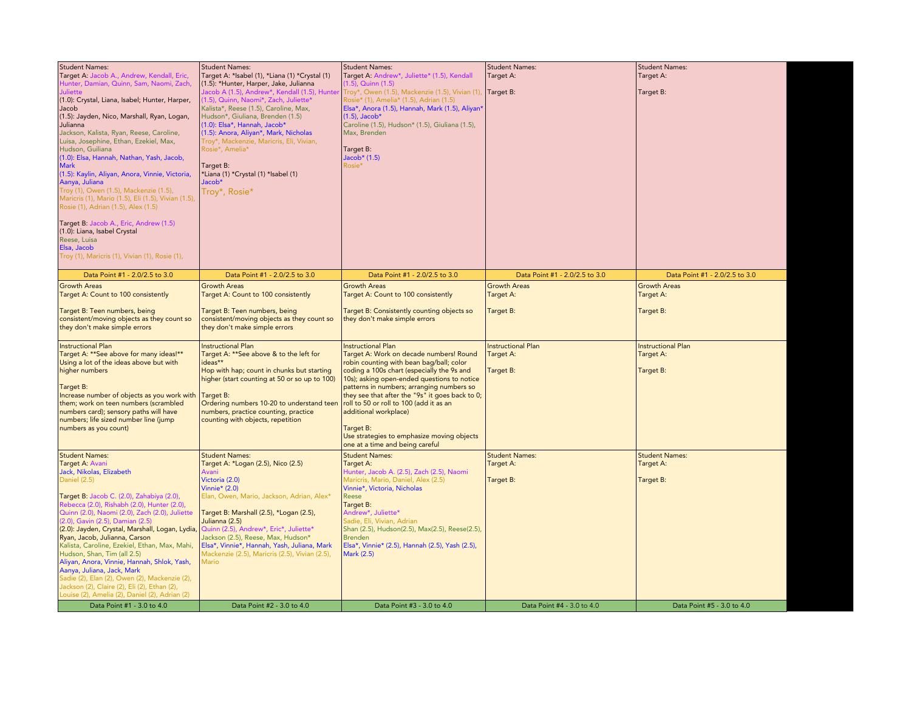| <b>Student Names:</b><br>Target A: Jacob A., Andrew, Kendall, Eric,<br>Hunter, Damian, Quinn, Sam, Naomi, Zach,<br>Juliette<br>(1.0): Crystal, Liana, Isabel; Hunter, Harper,<br> Jacob<br>(1.5): Jayden, Nico, Marshall, Ryan, Logan,<br>Julianna<br>Jackson, Kalista, Ryan, Reese, Caroline,                                                                                                                                                                                                                                                                                                                                  | <b>Student Names:</b><br>Target A: *Isabel (1), *Liana (1) *Crystal (1)<br>(1.5): *Hunter, Harper, Jake, Julianna<br>Jacob A (1.5), Andrew*, Kendall (1.5), Hunter<br>(1.5), Quinn, Naomi*, Zach, Juliette*<br>Kalista*, Reese (1.5), Caroline, Max,<br>Hudson*, Giuliana, Brenden (1.5)<br>(1.0): Elsa*, Hannah, Jacob*<br>(1.5): Anora, Aliyan*, Mark, Nicholas                                             | <b>Student Names:</b><br>Target A: Andrew*, Juliette* (1.5), Kendall<br>$(1.5)$ , Quinn $(1.5)$<br>Troy*, Owen (1.5), Mackenzie (1.5), Vivian (1),<br>Rosie* (1), Amelia* (1.5), Adrian (1.5)<br>Elsa*, Anora (1.5), Hannah, Mark (1.5), Aliyan*<br>$(1.5)$ , Jacob*<br>Caroline (1.5), Hudson* (1.5), Giuliana (1.5),<br>Max, Brenden                                                                                                                                          | <b>Student Names:</b><br>Target A:<br>Target B:     | <b>Student Names:</b><br>Target A:<br>Target B:     |
|---------------------------------------------------------------------------------------------------------------------------------------------------------------------------------------------------------------------------------------------------------------------------------------------------------------------------------------------------------------------------------------------------------------------------------------------------------------------------------------------------------------------------------------------------------------------------------------------------------------------------------|---------------------------------------------------------------------------------------------------------------------------------------------------------------------------------------------------------------------------------------------------------------------------------------------------------------------------------------------------------------------------------------------------------------|---------------------------------------------------------------------------------------------------------------------------------------------------------------------------------------------------------------------------------------------------------------------------------------------------------------------------------------------------------------------------------------------------------------------------------------------------------------------------------|-----------------------------------------------------|-----------------------------------------------------|
| Luisa, Josephine, Ethan, Ezekiel, Max,<br>Hudson, Guiliana<br>(1.0): Elsa, Hannah, Nathan, Yash, Jacob,<br><b>Mark</b><br>(1.5): Kaylin, Aliyan, Anora, Vinnie, Victoria,<br>Aanya, Juliana<br>Troy (1), Owen (1.5), Mackenzie (1.5),<br>Maricris (1), Mario (1.5), Eli (1.5), Vivian (1.5),<br>Rosie (1), Adrian (1.5), Alex (1.5)                                                                                                                                                                                                                                                                                             | Troy*, Mackenzie, Maricris, Eli, Vivian,<br>Rosie*, Amelia*<br>Target B:<br>*Liana (1) *Crystal (1) *Isabel (1)<br>Jacob*<br>Troy*, Rosie*                                                                                                                                                                                                                                                                    | Target B:<br>Jacob* (1.5)<br>Rosie*                                                                                                                                                                                                                                                                                                                                                                                                                                             |                                                     |                                                     |
| Target B: Jacob A., Eric, Andrew (1.5)<br>(1.0): Liana, Isabel Crystal<br>Reese, Luisa<br>Elsa, Jacob<br>Troy (1), Maricris (1), Vivian (1), Rosie (1),                                                                                                                                                                                                                                                                                                                                                                                                                                                                         |                                                                                                                                                                                                                                                                                                                                                                                                               |                                                                                                                                                                                                                                                                                                                                                                                                                                                                                 |                                                     |                                                     |
| Data Point #1 - 2.0/2.5 to 3.0                                                                                                                                                                                                                                                                                                                                                                                                                                                                                                                                                                                                  | Data Point #1 - 2.0/2.5 to 3.0                                                                                                                                                                                                                                                                                                                                                                                | Data Point #1 - 2.0/2.5 to 3.0                                                                                                                                                                                                                                                                                                                                                                                                                                                  | Data Point #1 - 2.0/2.5 to 3.0                      | Data Point #1 - 2.0/2.5 to 3.0                      |
| <b>Growth Areas</b><br>Target A: Count to 100 consistently                                                                                                                                                                                                                                                                                                                                                                                                                                                                                                                                                                      | <b>Growth Areas</b><br>Target A: Count to 100 consistently                                                                                                                                                                                                                                                                                                                                                    | <b>Growth Areas</b><br>Target A: Count to 100 consistently                                                                                                                                                                                                                                                                                                                                                                                                                      | <b>Growth Areas</b><br>Target A:                    | <b>Growth Areas</b><br>Target A:                    |
| Target B: Teen numbers, being<br>consistent/moving objects as they count so<br>they don't make simple errors                                                                                                                                                                                                                                                                                                                                                                                                                                                                                                                    | Target B: Teen numbers, being<br>consistent/moving objects as they count so<br>they don't make simple errors                                                                                                                                                                                                                                                                                                  | Target B: Consistently counting objects so<br>they don't make simple errors                                                                                                                                                                                                                                                                                                                                                                                                     | Target B:                                           | Target B:                                           |
| <b>Instructional Plan</b><br>Target A: ** See above for many ideas!**<br>Using a lot of the ideas above but with<br>higher numbers<br>Target B:<br>Increase number of objects as you work with<br>them; work on teen numbers (scrambled<br>numbers card); sensory paths will have<br>numbers; life sized number line (jump<br>numbers as you count)                                                                                                                                                                                                                                                                             | <b>Instructional Plan</b><br>Target A: **See above & to the left for<br>ideas**<br>Hop with hap; count in chunks but starting<br>higher (start counting at 50 or so up to 100)<br>Target B:<br>Ordering numbers 10-20 to understand teen<br>numbers, practice counting, practice<br>counting with objects, repetition                                                                                         | <b>Instructional Plan</b><br>Target A: Work on decade numbers! Round<br>robin counting with bean bag/ball; color<br>coding a 100s chart (especially the 9s and<br>10s); asking open-ended questions to notice<br>patterns in numbers; arranging numbers so<br>they see that after the "9s" it goes back to 0;<br>roll to 50 or roll to 100 (add it as an<br>additional workplace)<br>Target B:<br>Use strategies to emphasize moving objects<br>one at a time and being careful | <b>Instructional Plan</b><br>Target A:<br>Target B: | <b>Instructional Plan</b><br>Target A:<br>Target B: |
| <b>Student Names:</b><br>Target A: Avani<br>Jack, Nikolas, Elizabeth<br><b>Daniel (2.5)</b><br>Target B: Jacob C. (2.0), Zahabiya (2.0),<br>Rebecca (2.0), Rishabh (2.0), Hunter (2.0),<br>Quinn (2.0), Naomi (2.0), Zach (2.0), Juliette<br>(2.0), Gavin (2.5), Damian (2.5)<br>(2.0): Jayden, Crystal, Marshall, Logan, Lydia,<br>Ryan, Jacob, Julianna, Carson<br>Kalista, Caroline, Ezekiel, Ethan, Max, Mahi,<br>Hudson, Shan, Tim (all 2.5)<br>Aliyan, Anora, Vinnie, Hannah, Shlok, Yash,<br>Aanya, Juliana, Jack, Mark<br>Sadie (2), Elan (2), Owen (2), Mackenzie (2),<br>Jackson (2), Claire (2), Eli (2), Ethan (2), | <b>Student Names:</b><br>Target A: *Logan (2.5), Nico (2.5)<br>Avani<br>Victoria (2.0)<br>Vinnie* $(2.0)$<br>Elan, Owen, Mario, Jackson, Adrian, Alex*<br>Target B: Marshall (2.5), *Logan (2.5),<br>Julianna (2.5)<br>Quinn (2.5), Andrew*, Eric*, Juliette*<br>Jackson (2.5), Reese, Max, Hudson*<br>Elsa*, Vinnie*, Hannah, Yash, Juliana, Mark<br>Mackenzie (2.5), Maricris (2.5), Vivian (2.5),<br>Mario | <b>Student Names:</b><br>Target A:<br>Hunter, Jacob A. (2.5), Zach (2.5), Naomi<br>Maricris, Mario, Daniel, Alex (2.5)<br>Vinnie*, Victoria, Nicholas<br>Reese<br>Target B:<br>Andrew*, Juliette*<br>Sadie, Eli, Vivian, Adrian<br>Shan (2.5), Hudson(2.5), Max(2.5), Reese(2.5),<br><b>Brenden</b><br>Elsa*, Vinnie* (2.5), Hannah (2.5), Yash (2.5),<br>Mark (2.5)                                                                                                            | <b>Student Names:</b><br>Target A:<br>Target B:     | <b>Student Names:</b><br>Target A:<br>Target B:     |
| Louise (2), Amelia (2), Daniel (2), Adrian (2)                                                                                                                                                                                                                                                                                                                                                                                                                                                                                                                                                                                  |                                                                                                                                                                                                                                                                                                                                                                                                               |                                                                                                                                                                                                                                                                                                                                                                                                                                                                                 |                                                     |                                                     |
| Data Point #1 - 3.0 to 4.0                                                                                                                                                                                                                                                                                                                                                                                                                                                                                                                                                                                                      | Data Point #2 - 3.0 to 4.0                                                                                                                                                                                                                                                                                                                                                                                    | Data Point #3 - 3.0 to 4.0                                                                                                                                                                                                                                                                                                                                                                                                                                                      | Data Point #4 - 3.0 to 4.0                          | Data Point #5 - 3.0 to 4.0                          |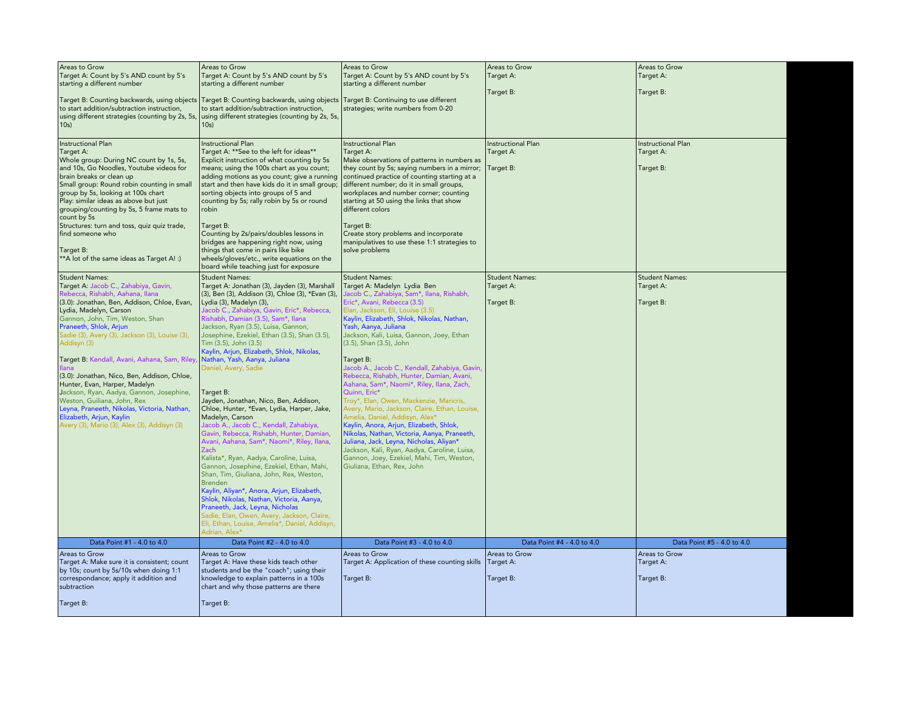| Areas to Grow<br>Target A: Count by 5's AND count by 5's<br>starting a different number                                                                                                                                                                                                                                                                                                                                                                                                                                                                                                                                                                  | Areas to Grow<br>Target A: Count by 5's AND count by 5's<br>starting a different number                                                                                                                                                                                                                                                                                                                                                                                                                                                                                                                                                                                                                                                                                                                                                                                                                                                                                                                                                                                                                                          | Areas to Grow<br>Target A: Count by 5's AND count by 5's<br>starting a different number                                                                                                                                                                                                                                                                                                                                                                                                                                                                                                                                                                                                                                                                                                                                                                                                 | Areas to Grow<br>Target A:                          | Areas to Grow<br>Target A:                          |
|----------------------------------------------------------------------------------------------------------------------------------------------------------------------------------------------------------------------------------------------------------------------------------------------------------------------------------------------------------------------------------------------------------------------------------------------------------------------------------------------------------------------------------------------------------------------------------------------------------------------------------------------------------|----------------------------------------------------------------------------------------------------------------------------------------------------------------------------------------------------------------------------------------------------------------------------------------------------------------------------------------------------------------------------------------------------------------------------------------------------------------------------------------------------------------------------------------------------------------------------------------------------------------------------------------------------------------------------------------------------------------------------------------------------------------------------------------------------------------------------------------------------------------------------------------------------------------------------------------------------------------------------------------------------------------------------------------------------------------------------------------------------------------------------------|-----------------------------------------------------------------------------------------------------------------------------------------------------------------------------------------------------------------------------------------------------------------------------------------------------------------------------------------------------------------------------------------------------------------------------------------------------------------------------------------------------------------------------------------------------------------------------------------------------------------------------------------------------------------------------------------------------------------------------------------------------------------------------------------------------------------------------------------------------------------------------------------|-----------------------------------------------------|-----------------------------------------------------|
| Target B: Counting backwards, using objects<br>to start addition/subtraction instruction,<br>using different strategies (counting by 2s, 5s,<br>10s                                                                                                                                                                                                                                                                                                                                                                                                                                                                                                      | Target B: Counting backwards, using objects Target B: Continuing to use different<br>to start addition/subtraction instruction,<br>using different strategies (counting by 2s, 5s,<br>10s)                                                                                                                                                                                                                                                                                                                                                                                                                                                                                                                                                                                                                                                                                                                                                                                                                                                                                                                                       | strategies; write numbers from 0-20                                                                                                                                                                                                                                                                                                                                                                                                                                                                                                                                                                                                                                                                                                                                                                                                                                                     | Target B:                                           | Target B:                                           |
| Instructional Plan<br>Target A:<br>Whole group: During NC count by 1s, 5s,<br>and 10s, Go Noodles, Youtube videos for<br>brain breaks or clean up<br>Small group: Round robin counting in small<br>group by 5s, looking at 100s chart<br>Play: similar ideas as above but just<br>grouping/counting by 5s, 5 frame mats to<br>count by 5s<br>Structures: turn and toss, quiz quiz trade,<br>find someone who<br>Target B:<br>**A lot of the same ideas as Target A! :)                                                                                                                                                                                   | <b>Instructional Plan</b><br>Target A: ** See to the left for ideas**<br>Explicit instruction of what counting by 5s<br>means; using the 100s chart as you count;<br>adding motions as you count; give a running<br>start and then have kids do it in small group;<br>sorting objects into groups of 5 and<br>counting by 5s; rally robin by 5s or round<br>robin<br>Target B:<br>Counting by 2s/pairs/doubles lessons in<br>bridges are happening right now, using<br>things that come in pairs like bike<br>wheels/gloves/etc., write equations on the<br>board while teaching just for exposure                                                                                                                                                                                                                                                                                                                                                                                                                                                                                                                               | Instructional Plan<br>Target A:<br>Make observations of patterns in numbers as<br>they count by 5s; saying numbers in a mirror;<br>continued practice of counting starting at a<br>different number; do it in small groups,<br>workplaces and number corner; counting<br>starting at 50 using the links that show<br>different colors<br>Target B:<br>Create story problems and incorporate<br>manipulatives to use these 1:1 strategies to<br>solve problems                                                                                                                                                                                                                                                                                                                                                                                                                           | <b>Instructional Plan</b><br>Target A:<br>Target B: | <b>Instructional Plan</b><br>Target A:<br>Target B: |
| <b>Student Names:</b><br>Target A: Jacob C., Zahabiya, Gavin,<br>Rebecca, Rishabh, Aahana, Ilana<br>(3.0): Jonathan, Ben, Addison, Chloe, Evan,<br>Lydia, Madelyn, Carson<br>Gannon, John, Tim, Weston, Shan<br>Praneeth, Shlok, Arjun<br>Sadie (3), Avery (3), Jackson (3), Louise (3),<br>Addisyn (3)<br>Target B: Kendall, Avani, Aahana, Sam, Riley,<br>l llana<br>(3.0): Jonathan, Nico, Ben, Addison, Chloe,<br>Hunter, Evan, Harper, Madelyn<br>Jackson, Ryan, Aadya, Gannon, Josephine,<br>Weston, Guiliana, John, Rex<br>Leyna, Praneeth, Nikolas, Victoria, Nathan,<br>Elizabeth, Arjun, Kaylin<br>Avery (3), Mario (3), Alex (3), Addisyn (3) | <b>Student Names:</b><br>Target A: Jonathan (3), Jayden (3), Marshall<br>(3), Ben (3), Addison (3), Chloe (3), *Evan (3),<br>Lydia (3), Madelyn (3),<br>Jacob C., Zahabiya, Gavin, Eric*, Rebecca,<br>Rishabh, Damian (3.5), Sam*, Ilana<br>Jackson, Ryan (3.5), Luisa, Gannon,<br>Josephine, Ezekiel, Ethan (3.5), Shan (3.5),<br>Tim (3.5), John (3.5)<br>Kaylin, Arjun, Elizabeth, Shlok, Nikolas,<br>Nathan, Yash, Aanya, Juliana<br>Daniel, Avery, Sadie<br>Target B:<br>Jayden, Jonathan, Nico, Ben, Addison,<br>Chloe, Hunter, *Evan, Lydia, Harper, Jake,<br>Madelyn, Carson<br>Jacob A., Jacob C., Kendall, Zahabiya,<br>Gavin, Rebecca, Rishabh, Hunter, Damian,<br>Avani, Aahana, Sam*, Naomi*, Riley, Ilana,<br>Zach<br>Kalista*, Ryan, Aadya, Caroline, Luisa,<br>Gannon, Josephine, Ezekiel, Ethan, Mahi,<br>Shan, Tim, Giuliana, John, Rex, Weston,<br><b>Brenden</b><br>Kaylin, Aliyan*, Anora, Arjun, Elizabeth,<br>Shlok, Nikolas, Nathan, Victoria, Aanya,<br>Praneeth, Jack, Leyna, Nicholas<br>Sadie, Elan, Owen, Avery, Jackson, Claire,<br>Eli, Ethan, Louise, Amelia*, Daniel, Addisyn,<br>Adrian, Alex* | <b>Student Names:</b><br>Target A: Madelyn Lydia Ben<br>Jacob C., Zahabiya, Sam*, Ilana, Rishabh,<br>Eric*, Avani, Rebecca (3.5)<br>Elan, Jackson, Eli, Louise (3.5)<br>Kaylin, Elizabeth, Shlok, Nikolas, Nathan,<br>Yash, Aanya, Juliana<br>Jackson, Kali, Luisa, Gannon, Joey, Ethan<br>(3.5), Shan (3.5), John<br>Target B:<br>Jacob A., Jacob C., Kendall, Zahabiya, Gavin,<br>Rebecca, Rishabh, Hunter, Damian, Avani,<br>Aahana, Sam*, Naomi*, Riley, Ilana, Zach,<br>Quinn, Eric*<br>Troy*, Elan, Owen, Mackenzie, Maricris,<br>Avery, Mario, Jackson, Claire, Ethan, Louise,<br>Amelia, Daniel, Addisyn, Alex*<br>Kaylin, Anora, Arjun, Elizabeth, Shlok,<br>Nikolas, Nathan, Victoria, Aanya, Praneeth,<br>Juliana, Jack, Leyna, Nicholas, Aliyan*<br>Jackson, Kali, Ryan, Aadya, Caroline, Luisa,<br>Gannon, Joey, Ezekiel, Mahi, Tim, Weston,<br>Giuliana, Ethan, Rex, John | <b>Student Names:</b><br>Target A:<br>Target B:     | <b>Student Names:</b><br>Target A:<br>Target B:     |
| Data Point #1 - 4.0 to 4.0                                                                                                                                                                                                                                                                                                                                                                                                                                                                                                                                                                                                                               | Data Point #2 - 4.0 to 4.0                                                                                                                                                                                                                                                                                                                                                                                                                                                                                                                                                                                                                                                                                                                                                                                                                                                                                                                                                                                                                                                                                                       | Data Point #3 - 4.0 to 4.0                                                                                                                                                                                                                                                                                                                                                                                                                                                                                                                                                                                                                                                                                                                                                                                                                                                              | Data Point #4 - 4.0 to 4.0                          | Data Point #5 - 4.0 to 4.0                          |
| Areas to Grow<br>Target A: Make sure it is consistent; count<br>by 10s; count by 5s/10s when doing 1:1<br>correspondance; apply it addition and<br>subtraction<br>Target B:                                                                                                                                                                                                                                                                                                                                                                                                                                                                              | Areas to Grow<br>Target A: Have these kids teach other<br>students and be the "coach"; using their<br>knowledge to explain patterns in a 100s<br>chart and why those patterns are there<br>Target B:                                                                                                                                                                                                                                                                                                                                                                                                                                                                                                                                                                                                                                                                                                                                                                                                                                                                                                                             | Areas to Grow<br>Target A: Application of these counting skills<br>Target B:                                                                                                                                                                                                                                                                                                                                                                                                                                                                                                                                                                                                                                                                                                                                                                                                            | Areas to Grow<br>Target A:<br>Target B:             | Areas to Grow<br>Target A:<br>Target B:             |
|                                                                                                                                                                                                                                                                                                                                                                                                                                                                                                                                                                                                                                                          |                                                                                                                                                                                                                                                                                                                                                                                                                                                                                                                                                                                                                                                                                                                                                                                                                                                                                                                                                                                                                                                                                                                                  |                                                                                                                                                                                                                                                                                                                                                                                                                                                                                                                                                                                                                                                                                                                                                                                                                                                                                         |                                                     |                                                     |